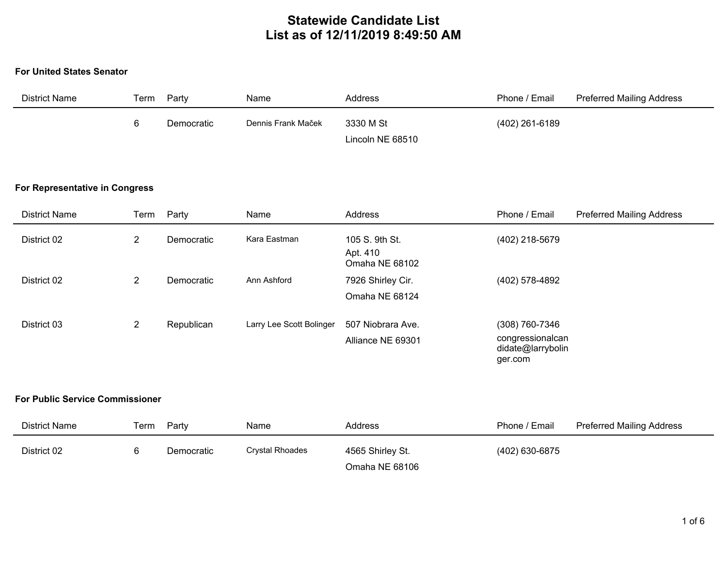# **Statewide Candidate List List as of 12/11/2019 8:49:50 AM**

#### **For United States Senator**

| District Name | Term | Party      | Name               | Address          | Phone / Email  | <b>Preferred Mailing Address</b> |
|---------------|------|------------|--------------------|------------------|----------------|----------------------------------|
|               | n    | Democratic | Dennis Frank Maček | 3330 M St        | (402) 261-6189 |                                  |
|               |      |            |                    | Lincoln NE 68510 |                |                                  |

### **For Representative in Congress**

| <b>District Name</b> | Term           | Party      | Name                     | Address                                      | Phone / Email                                                      | <b>Preferred Mailing Address</b> |
|----------------------|----------------|------------|--------------------------|----------------------------------------------|--------------------------------------------------------------------|----------------------------------|
| District 02          | 2              | Democratic | Kara Eastman             | 105 S. 9th St.<br>Apt. 410<br>Omaha NE 68102 | (402) 218-5679                                                     |                                  |
| District 02          | $\overline{2}$ | Democratic | Ann Ashford              | 7926 Shirley Cir.<br>Omaha NE 68124          | (402) 578-4892                                                     |                                  |
| District 03          | $\mathbf{2}$   | Republican | Larry Lee Scott Bolinger | 507 Niobrara Ave.<br>Alliance NE 69301       | (308) 760-7346<br>congressionalcan<br>didate@larrybolin<br>ger.com |                                  |

### **For Public Service Commissioner**

| <b>District Name</b> | Геrm | Party      | Name                   | Address          | Phone / Email  | <b>Preferred Mailing Address</b> |
|----------------------|------|------------|------------------------|------------------|----------------|----------------------------------|
| District 02          |      | Democratic | <b>Crystal Rhoades</b> | 4565 Shirley St. | (402) 630-6875 |                                  |
|                      |      |            |                        | Omaha NE 68106   |                |                                  |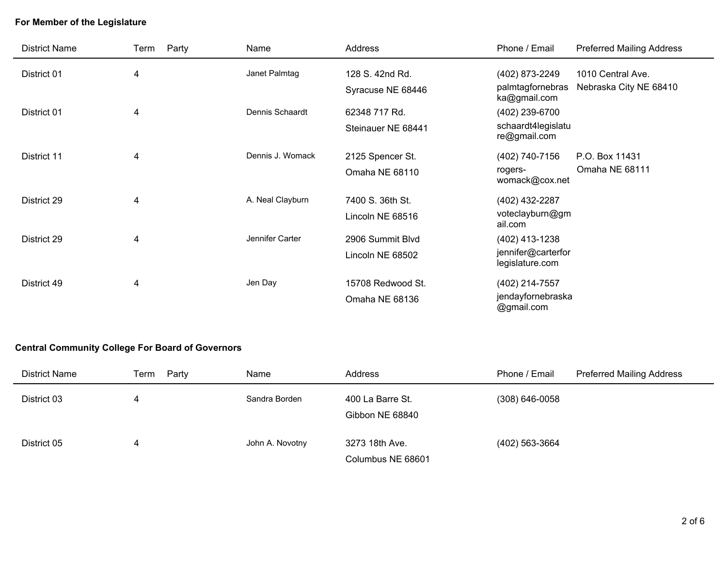## **For Member of the Legislature**

| <b>District Name</b> | Party<br>Term | Name             | <b>Address</b>     | Phone / Email                         | <b>Preferred Mailing Address</b> |
|----------------------|---------------|------------------|--------------------|---------------------------------------|----------------------------------|
| District 01          | 4             | Janet Palmtag    | 128 S. 42nd Rd.    | (402) 873-2249                        | 1010 Central Ave.                |
|                      |               |                  | Syracuse NE 68446  | palmtagfornebras<br>ka@gmail.com      | Nebraska City NE 68410           |
| District 01          | 4             | Dennis Schaardt  | 62348 717 Rd.      | (402) 239-6700                        |                                  |
|                      |               |                  | Steinauer NE 68441 | schaardt4legislatu<br>re@gmail.com    |                                  |
| District 11          | 4             | Dennis J. Womack | 2125 Spencer St.   | (402) 740-7156                        | P.O. Box 11431                   |
|                      |               |                  | Omaha NE 68110     | rogers-<br>womack@cox.net             | Omaha NE 68111                   |
| District 29          | 4             | A. Neal Clayburn | 7400 S. 36th St.   | (402) 432-2287                        |                                  |
|                      |               |                  | Lincoln NE 68516   | voteclayburn@gm<br>ail.com            |                                  |
| District 29          | 4             | Jennifer Carter  | 2906 Summit Blvd   | (402) 413-1238                        |                                  |
|                      |               |                  | Lincoln NE 68502   | jennifer@carterfor<br>legislature.com |                                  |
| District 49          | 4             | Jen Day          | 15708 Redwood St.  | (402) 214-7557                        |                                  |
|                      |               |                  | Omaha NE 68136     | jendayfornebraska<br>@gmail.com       |                                  |

## **Central Community College For Board of Governors**

| District Name | Party<br>Term | Name            | Address                             | Phone / Email    | <b>Preferred Mailing Address</b> |
|---------------|---------------|-----------------|-------------------------------------|------------------|----------------------------------|
| District 03   | 4             | Sandra Borden   | 400 La Barre St.<br>Gibbon NE 68840 | $(308)$ 646-0058 |                                  |
| District 05   | 4             | John A. Novotny | 3273 18th Ave.<br>Columbus NE 68601 | (402) 563-3664   |                                  |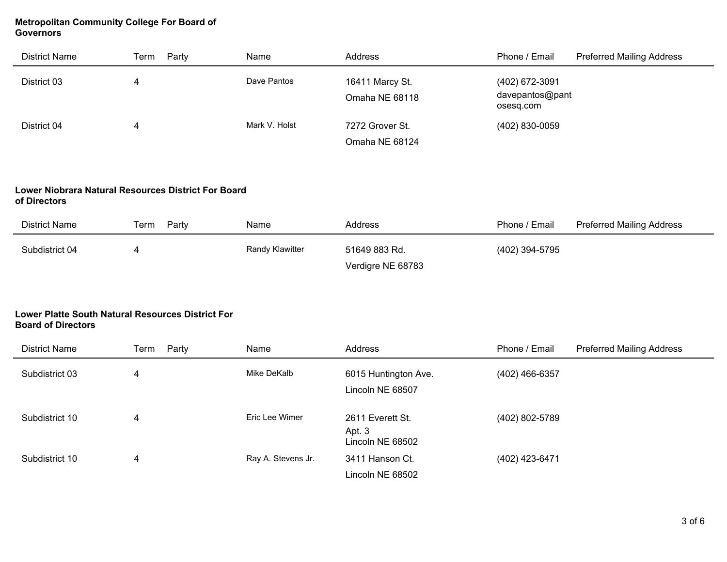### **Metropolitan Community College For Board of Governors**

| District Name | Party<br>Term | Name          | Address                           | Phone / Email                                  | <b>Preferred Mailing Address</b> |
|---------------|---------------|---------------|-----------------------------------|------------------------------------------------|----------------------------------|
| District 03   |               | Dave Pantos   | 16411 Marcy St.<br>Omaha NE 68118 | (402) 672-3091<br>davepantos@pant<br>osesq.com |                                  |
| District 04   |               | Mark V. Holst | 7272 Grover St.                   | (402) 830-0059                                 |                                  |
|               |               |               | Omaha NE 68124                    |                                                |                                  |

#### **Lower Niobrara Natural Resources District For Board of Directors**

| <b>District Name</b> | Party<br>Term | Name            | Address           | Phone / Email  | <b>Preferred Mailing Address</b> |
|----------------------|---------------|-----------------|-------------------|----------------|----------------------------------|
| Subdistrict 04       |               | Randy Klawitter | 51649 883 Rd.     | (402) 394-5795 |                                  |
|                      |               |                 | Verdigre NE 68783 |                |                                  |

### **Lower Platte South Natural Resources District For Board of Directors**

| District Name  | Party<br>Term | Name               | Address                                        | Phone / Email  | <b>Preferred Mailing Address</b> |
|----------------|---------------|--------------------|------------------------------------------------|----------------|----------------------------------|
| Subdistrict 03 | 4             | Mike DeKalb        | 6015 Huntington Ave.<br>Lincoln NE 68507       | (402) 466-6357 |                                  |
| Subdistrict 10 | 4             | Eric Lee Wimer     | 2611 Everett St.<br>Apt. 3<br>Lincoln NE 68502 | (402) 802-5789 |                                  |
| Subdistrict 10 | 4             | Ray A. Stevens Jr. | 3411 Hanson Ct.<br>Lincoln NE 68502            | (402) 423-6471 |                                  |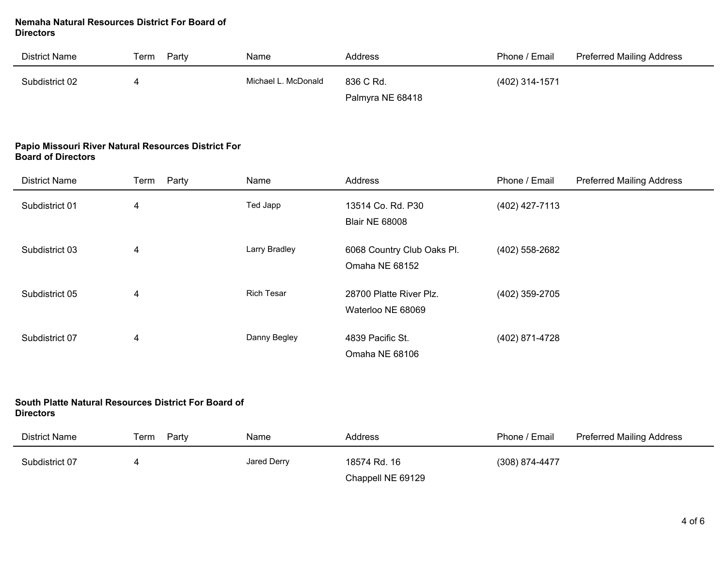#### **Nemaha Natural Resources District For Board of Directors**

| District Name  | Party<br>Геrm | Name                | Address          | Phone / Email  | <b>Preferred Mailing Address</b> |
|----------------|---------------|---------------------|------------------|----------------|----------------------------------|
| Subdistrict 02 |               | Michael L. McDonald | 836 C Rd.        | (402) 314-1571 |                                  |
|                |               |                     | Palmyra NE 68418 |                |                                  |

#### **Papio Missouri River Natural Resources District For Board of Directors**

| <b>District Name</b> | Party<br>Term | Name              | Address                                      | Phone / Email  | <b>Preferred Mailing Address</b> |
|----------------------|---------------|-------------------|----------------------------------------------|----------------|----------------------------------|
| Subdistrict 01       | 4             | Ted Japp          | 13514 Co. Rd. P30<br><b>Blair NE 68008</b>   | (402) 427-7113 |                                  |
| Subdistrict 03       | 4             | Larry Bradley     | 6068 Country Club Oaks Pl.<br>Omaha NE 68152 | (402) 558-2682 |                                  |
| Subdistrict 05       | 4             | <b>Rich Tesar</b> | 28700 Platte River Plz.<br>Waterloo NE 68069 | (402) 359-2705 |                                  |
| Subdistrict 07       | 4             | Danny Begley      | 4839 Pacific St.<br>Omaha NE 68106           | (402) 871-4728 |                                  |

#### **South Platte Natural Resources District For Board of Directors**

| <b>Directors</b> |               |             |                   |                |                                  |  |  |  |
|------------------|---------------|-------------|-------------------|----------------|----------------------------------|--|--|--|
| District Name    | Party<br>Term | Name        | Address           | Phone / Email  | <b>Preferred Mailing Address</b> |  |  |  |
| Subdistrict 07   | 4             | Jared Derry | 18574 Rd. 16      | (308) 874-4477 |                                  |  |  |  |
|                  |               |             | Chappell NE 69129 |                |                                  |  |  |  |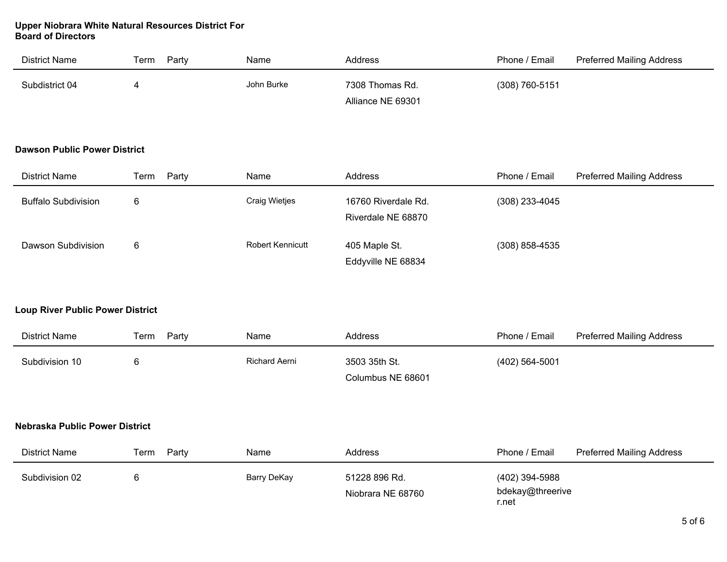#### **Upper Niobrara White Natural Resources District For Board of Directors**

| District Name  | Party<br>⊺erm | Name       | Address           | Phone / Email  | <b>Preferred Mailing Address</b> |
|----------------|---------------|------------|-------------------|----------------|----------------------------------|
| Subdistrict 04 |               | John Burke | 7308 Thomas Rd.   | (308) 760-5151 |                                  |
|                |               |            | Alliance NE 69301 |                |                                  |

#### **Dawson Public Power District**

| District Name              | Party<br>Term | Name                    | Address                                   | Phone / Email    | <b>Preferred Mailing Address</b> |
|----------------------------|---------------|-------------------------|-------------------------------------------|------------------|----------------------------------|
| <b>Buffalo Subdivision</b> |               | <b>Craig Wietjes</b>    | 16760 Riverdale Rd.<br>Riverdale NE 68870 | $(308)$ 233-4045 |                                  |
| Dawson Subdivision         |               | <b>Robert Kennicutt</b> | 405 Maple St.<br>Eddyville NE 68834       | $(308)$ 858-4535 |                                  |

## **Loup River Public Power District**

| District Name  | Term<br>Party | Name          | Address           | Phone / Email  | <b>Preferred Mailing Address</b> |
|----------------|---------------|---------------|-------------------|----------------|----------------------------------|
| Subdivision 10 |               | Richard Aerni | 3503 35th St.     | (402) 564-5001 |                                  |
|                |               |               | Columbus NE 68601 |                |                                  |

### **Nebraska Public Power District**

| District Name  | Party<br>Term | Name        | Address                            | Phone / Email                               | <b>Preferred Mailing Address</b> |
|----------------|---------------|-------------|------------------------------------|---------------------------------------------|----------------------------------|
| Subdivision 02 |               | Barry DeKay | 51228 896 Rd.<br>Niobrara NE 68760 | (402) 394-5988<br>bdekay@threerive<br>r.net |                                  |